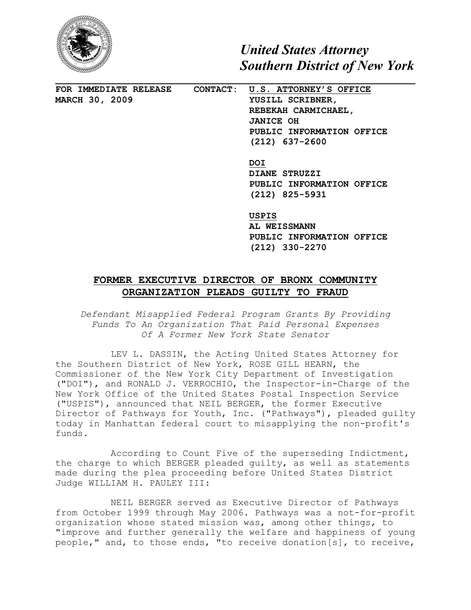

*United States Attorney Southern District of New York*

**FOR IMMEDIATE RELEASE CONTACT: U.S. ATTORNEY'S OFFICE MARCH 30, 2009 YUSILL SCRIBNER, REBEKAH CARMICHAEL, JANICE OH PUBLIC INFORMATION OFFICE (212) 637-2600**

> **DOI DIANE STRUZZI PUBLIC INFORMATION OFFICE (212) 825-5931**

> **USPIS AL WEISSMANN PUBLIC INFORMATION OFFICE (212) 330-2270**

## **FORMER EXECUTIVE DIRECTOR OF BRONX COMMUNITY ORGANIZATION PLEADS GUILTY TO FRAUD**

*Defendant Misapplied Federal Program Grants By Providing Funds To An Organization That Paid Personal Expenses Of A Former New York State Senator*

LEV L. DASSIN, the Acting United States Attorney for the Southern District of New York, ROSE GILL HEARN, the Commissioner of the New York City Department of Investigation ("DOI"), and RONALD J. VERROCHIO, the Inspector-in-Charge of the New York Office of the United States Postal Inspection Service ("USPIS"), announced that NEIL BERGER, the former Executive Director of Pathways for Youth, Inc. ("Pathways"), pleaded guilty today in Manhattan federal court to misapplying the non-profit's funds.

According to Count Five of the superseding Indictment, the charge to which BERGER pleaded guilty, as well as statements made during the plea proceeding before United States District Judge WILLIAM H. PAULEY III:

NEIL BERGER served as Executive Director of Pathways from October 1999 through May 2006. Pathways was a not-for-profit organization whose stated mission was, among other things, to "improve and further generally the welfare and happiness of young people," and, to those ends, "to receive donation[s], to receive,